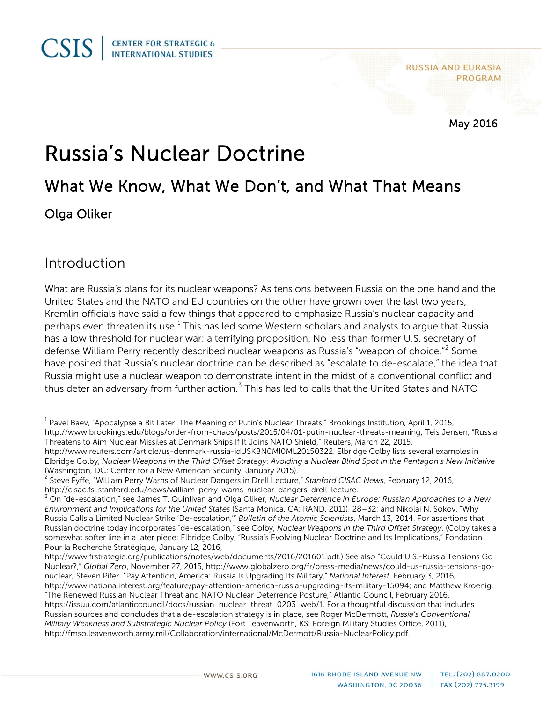**RUSSIA AND EURASIA PROGRAM** 

May 2016

# Russia's Nuclear Doctrine

## What We Know, What We Don't, and What That Means Olga Oliker

#### Introduction

What are Russia's plans for its nuclear weapons? As tensions between Russia on the one hand and the United States and the NATO and EU countries on the other have grown over the last two years, Kremlin officials have said a few things that appeared to emphasize Russia's nuclear capacity and perhaps even threaten its use.<sup>[1](#page-0-0)</sup> This has led some Western scholars and analysts to argue that Russia has a low threshold for nuclear war: a terrifying proposition. No less than former U.S. secretary of defense William Perry recently described nuclear weapons as Russia's "weapon of choice."<sup>[2](#page-0-1)</sup> Some have posited that Russia's nuclear doctrine can be described as "escalate to de-escalate," the idea that Russia might use a nuclear weapon to demonstrate intent in the midst of a conventional conflict and thus deter an adversary from further action.<sup>[3](#page-0-2)</sup> This has led to calls that the United States and NATO

<span id="page-0-0"></span> $1$  Pavel Baev, "Apocalypse a Bit Later: The Meaning of Putin's Nuclear Threats," Brookings Institution, April 1, 2015, [http://www.brookings.edu/blogs/order-from-chaos/posts/2015/04/01-putin-nuclear-threats-meaning;](http://www.brookings.edu/blogs/order-from-chaos/posts/2015/04/01-putin-nuclear-threats-meaning) Teis Jensen, "Russia Threatens to Aim Nuclear Missiles at Denmark Ships If It Joins NATO Shield," Reuters, March 22, 2015,

[http://www.reuters.com/article/us-denmark-russia-idUSKBN0MI0ML20150322.](http://www.reuters.com/article/us-denmark-russia-idUSKBN0MI0ML20150322) Elbridge Colby lists several examples in Elbridge Colby, *Nuclear Weapons in the Third Offset Strategy: Avoiding a Nuclear Blind Spot in the Pentagon's New Initiative* (Washington, DC: Center for a New American Security, January 2015).

<span id="page-0-1"></span><sup>2</sup> Steve Fyffe, "William Perry Warns of Nuclear Dangers in Drell Lecture," *Stanford CISAC News*, February 12, 2016, http://cisac.fsi.stanford.edu/news/william-perry-warns-nuclear-dangers-drell-lecture.<br><sup>3</sup> On "de-escalation," see James T. Quinlivan and Olga Oliker, *Nuclear Deterrence in Europe: Russian Approaches to a New* 

<span id="page-0-2"></span>*Environment and Implications for the United States* (Santa Monica, CA: RAND, 2011), 28–32; and Nikolai N. Sokov, "Why Russia Calls a Limited Nuclear Strike 'De-escalation,'" *Bulletin of the Atomic Scientists*, March 13, 2014. For assertions that Russian doctrine today incorporates "de-escalation," see Colby, *Nuclear Weapons in the Third Offset Strategy*. (Colby takes a somewhat softer line in a later piece: Elbridge Colby, "Russia's Evolving Nuclear Doctrine and Its Implications," Fondation Pour la Recherche Stratégique, January 12, 2016,

http://www.frstrategie.org/publications/notes/web/documents/2016/201601.pdf.) See also "Could U.S.-Russia Tensions Go Nuclear?," *Global Zero*, November 27, 2015, [http://www.globalzero.org/fr/press-media/news/could-us-russia-tensions-go](http://www.globalzero.org/fr/press-media/news/could-us-russia-tensions-go-nuclear)[nuclear;](http://www.globalzero.org/fr/press-media/news/could-us-russia-tensions-go-nuclear) Steven Pifer. "Pay Attention, America: Russia Is Upgrading Its Military," *National Interest*, February 3, 2016, [http://www.nationalinterest.org/feature/pay-attention-america-russia-upgrading-its-military-15094;](http://www.nationalinterest.org/feature/pay-attention-america-russia-upgrading-its-military-15094) and Matthew Kroenig,

<sup>&</sup>quot;The Renewed Russian Nuclear Threat and NATO Nuclear Deterrence Posture," Atlantic Council, February 2016, [https://issuu.com/atlanticcouncil/docs/russian\\_nuclear\\_threat\\_0203\\_web/1.](https://issuu.com/atlanticcouncil/docs/russian_nuclear_threat_0203_web/1) For a thoughtful discussion that includes Russian sources and concludes that a de-escalation strategy is in place, see Roger McDermott, *Russia's Conventional Military Weakness and Substrategic Nuclear Policy* (Fort Leavenworth, KS: Foreign Military Studies Office, 2011), http://fmso.leavenworth.army.mil/Collaboration/international/McDermott/Russia-NuclearPolicy.pdf.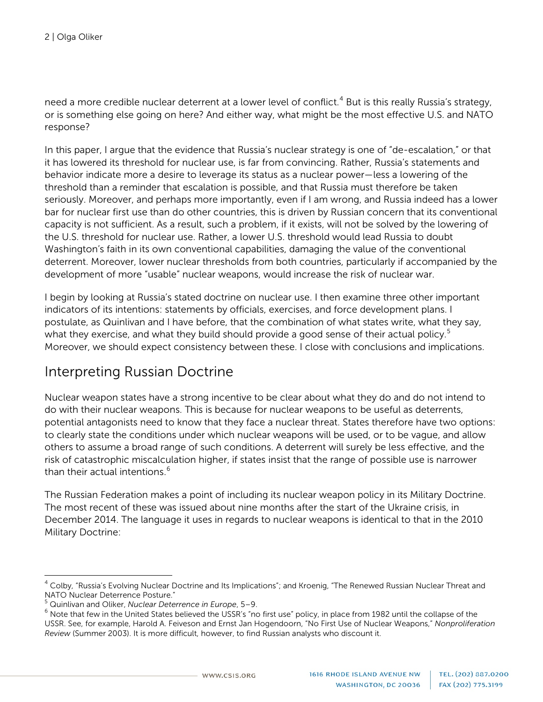need a more credible nuclear deterrent at a lower level of conflict.<sup>[4](#page-1-0)</sup> But is this really Russia's strategy, or is something else going on here? And either way, what might be the most effective U.S. and NATO response?

In this paper, I argue that the evidence that Russia's nuclear strategy is one of "de-escalation," or that it has lowered its threshold for nuclear use, is far from convincing. Rather, Russia's statements and behavior indicate more a desire to leverage its status as a nuclear power—less a lowering of the threshold than a reminder that escalation is possible, and that Russia must therefore be taken seriously. Moreover, and perhaps more importantly, even if I am wrong, and Russia indeed has a lower bar for nuclear first use than do other countries, this is driven by Russian concern that its conventional capacity is not sufficient. As a result, such a problem, if it exists, will not be solved by the lowering of the U.S. threshold for nuclear use. Rather, a lower U.S. threshold would lead Russia to doubt Washington's faith in its own conventional capabilities, damaging the value of the conventional deterrent. Moreover, lower nuclear thresholds from both countries, particularly if accompanied by the development of more "usable" nuclear weapons, would increase the risk of nuclear war.

I begin by looking at Russia's stated doctrine on nuclear use. I then examine three other important indicators of its intentions: statements by officials, exercises, and force development plans. I postulate, as Quinlivan and I have before, that the combination of what states write, what they say, what they exercise, and what they build should provide a good sense of their actual policy.<sup>[5](#page-1-1)</sup> Moreover, we should expect consistency between these. I close with conclusions and implications.

#### Interpreting Russian Doctrine

Nuclear weapon states have a strong incentive to be clear about what they do and do not intend to do with their nuclear weapons. This is because for nuclear weapons to be useful as deterrents, potential antagonists need to know that they face a nuclear threat. States therefore have two options: to clearly state the conditions under which nuclear weapons will be used, or to be vague, and allow others to assume a broad range of such conditions. A deterrent will surely be less effective, and the risk of catastrophic miscalculation higher, if states insist that the range of possible use is narrower than their actual intentions.<sup>[6](#page-1-2)</sup>

The Russian Federation makes a point of including its nuclear weapon policy in its Military Doctrine. The most recent of these was issued about nine months after the start of the Ukraine crisis, in December 2014. The language it uses in regards to nuclear weapons is identical to that in the 2010 Military Doctrine:

<span id="page-1-0"></span><sup>&</sup>lt;sup>4</sup> Colby, "Russia's Evolving Nuclear Doctrine and Its Implications"; and Kroenig, "The Renewed Russian Nuclear Threat and NATO Nuclear Deterrence Posture."<br><sup>5</sup> Quinlivan and Oliker, Nuclear Deterrence in Europe, 5–9.

<span id="page-1-1"></span>

<span id="page-1-2"></span><sup>&</sup>lt;sup>6</sup> Note that few in the United States believed the USSR's "no first use" policy, in place from 1982 until the collapse of the USSR. See, for example, Harold A. Feiveson and Ernst Jan Hogendoorn, "No First Use of Nuclear Weapons," *Nonproliferation Review* (Summer 2003). It is more difficult, however, to find Russian analysts who discount it.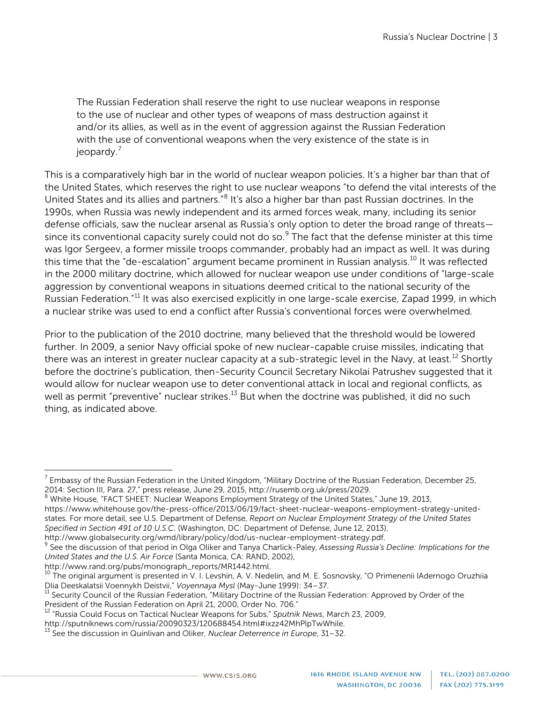The Russian Federation shall reserve the right to use nuclear weapons in response to the use of nuclear and other types of weapons of mass destruction against it and/or its allies, as well as in the event of aggression against the Russian Federation with the use of conventional weapons when the very existence of the state is in jeopardy.<sup>[7](#page-2-0)</sup>

This is a comparatively high bar in the world of nuclear weapon policies. It's a higher bar than that of the United States, which reserves the right to use nuclear weapons "to defend the vital interests of the United States and its allies and partners."[8](#page-2-1) It's also a higher bar than past Russian doctrines. In the 1990s, when Russia was newly independent and its armed forces weak, many, including its senior defense officials, saw the nuclear arsenal as Russia's only option to deter the broad range of threats— since its conventional capacity surely could not do so.<sup>[9](#page-2-2)</sup> The fact that the defense minister at this time was Igor Sergeev, a former missile troops commander, probably had an impact as well. It was during this time that the "de-escalation" argument became prominent in Russian analysis.<sup>[10](#page-2-3)</sup> It was reflected in the 2000 military doctrine, which allowed for nuclear weapon use under conditions of "large-scale aggression by conventional weapons in situations deemed critical to the national security of the Russian Federation."[11](#page-2-4) It was also exercised explicitly in one large-scale exercise, Zapad 1999, in which a nuclear strike was used to end a conflict after Russia's conventional forces were overwhelmed.

Prior to the publication of the 2010 doctrine, many believed that the threshold would be lowered further. In 2009, a senior Navy official spoke of new nuclear-capable cruise missiles, indicating that there was an interest in greater nuclear capacity at a sub-strategic level in the Navy, at least.<sup>[12](#page-2-5)</sup> Shortly before the doctrine's publication, then-Security Council Secretary Nikolai Patrushev suggested that it would allow for nuclear weapon use to deter conventional attack in local and regional conflicts, as well as permit "preventive" nuclear strikes.<sup>[13](#page-2-6)</sup> But when the doctrine was published, it did no such thing, as indicated above.

<span id="page-2-0"></span>Embassy of the Russian Federation in the United Kingdom, "Military Doctrine of the Russian Federation, December 25, 2014: Section III, Para. 27," press release, June 29, 2015[, http://rusemb.org.uk/press/2029.](http://rusemb.org.uk/press/2029)<br><sup>8</sup> White House, "FACT SHEET: Nuclear Weapons Employment Strategy of the United States," June 19, 2013,

<span id="page-2-1"></span>[https://www.whitehouse.gov/the-press-office/2013/06/19/fact-sheet-nuclear-weapons-employment-strategy-united](https://www.whitehouse.gov/the-press-office/2013/06/19/fact-sheet-nuclear-weapons-employment-strategy-united-states)[states.](https://www.whitehouse.gov/the-press-office/2013/06/19/fact-sheet-nuclear-weapons-employment-strategy-united-states) For more detail, see U.S. Department of Defense, *Report on Nuclear Employment Strategy of the United States Specified in Section 491 of 10 U.S.C.* (Washington, DC: Department of Defense, June 12, 2013),

<span id="page-2-2"></span>http://www.globalsecurity.org/wmd/library/policy/dod/us-nuclear-employment-strategy.pdf.<br><sup>9</sup> See the discussion of that period in Olga Oliker and Tanya Charlick-Paley, *Assessing Russia's Decline: Implications for the United States and the U.S. Air Force* (Santa Monica, CA: RAND, 2002),

<span id="page-2-3"></span> $^{10}$  The original argument is presented in V. I. Levshin, A. V. Nedelin, and M. E. Sosnovsky, "O Primenenii IAdernogo Oruzhiia Dlia Deeskalatsii Voennykh Deistvii," *Voyennaya Mysl* (May-June 1999): 34–37.<br><sup>11</sup> Security Council of the Russian Federation, "Military Doctrine of the Russian Federation: Approved by Order of the

<span id="page-2-4"></span>President of the Russian Federation on April 21, 2000, Order No. 706."

<span id="page-2-5"></span><sup>12</sup> "Russia Could Focus on Tactical Nuclear Weapons for Subs," *Sputnik News*, March 23, 2009,

[http://sputniknews.com/russia/20090323/120688454.html#ixzz42MhPlpTwWhile.](http://sputniknews.com/russia/20090323/120688454.html%23ixzz42MhPlpTwWhile)<br><sup>13</sup> See the discussion in Quinlivan and Oliker, *Nuclear Deterrence in Europe*, 31–32.

<span id="page-2-6"></span>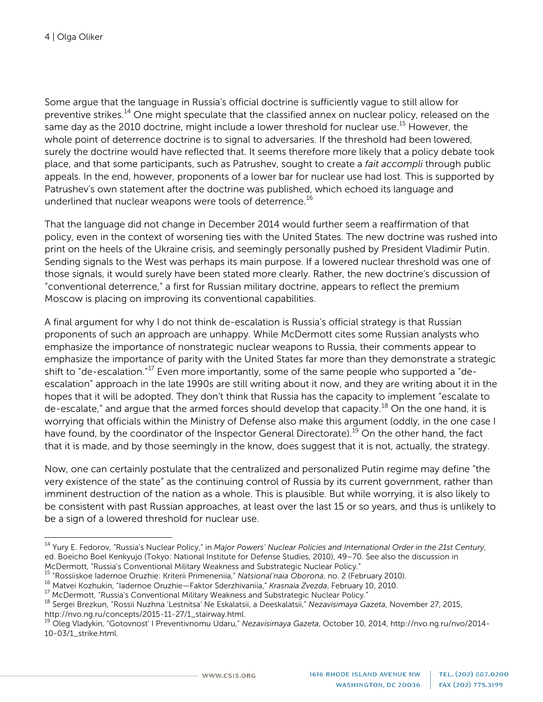Some argue that the language in Russia's official doctrine is sufficiently vague to still allow for preventive strikes.<sup>[14](#page-3-0)</sup> One might speculate that the classified annex on nuclear policy, released on the same day as the 2010 doctrine, might include a lower threshold for nuclear use.<sup>[15](#page-3-1)</sup> However, the whole point of deterrence doctrine is to signal to adversaries. If the threshold had been lowered, surely the doctrine would have reflected that. It seems therefore more likely that a policy debate took place, and that some participants, such as Patrushev, sought to create a *fait accompli* through public appeals. In the end, however, proponents of a lower bar for nuclear use had lost. This is supported by Patrushev's own statement after the doctrine was published, which echoed its language and underlined that nuclear weapons were tools of deterrence.<sup>[16](#page-3-2)</sup>

That the language did not change in December 2014 would further seem a reaffirmation of that policy, even in the context of worsening ties with the United States. The new doctrine was rushed into print on the heels of the Ukraine crisis, and seemingly personally pushed by President Vladimir Putin. Sending signals to the West was perhaps its main purpose. If a lowered nuclear threshold was one of those signals, it would surely have been stated more clearly. Rather, the new doctrine's discussion of "conventional deterrence," a first for Russian military doctrine, appears to reflect the premium Moscow is placing on improving its conventional capabilities.

A final argument for why I do not think de-escalation is Russia's official strategy is that Russian proponents of such an approach are unhappy. While McDermott cites some Russian analysts who emphasize the importance of nonstrategic nuclear weapons to Russia, their comments appear to emphasize the importance of parity with the United States far more than they demonstrate a strategic shift to "de-escalation."<sup>[17](#page-3-3)</sup> Even more importantly, some of the same people who supported a "deescalation" approach in the late 1990s are still writing about it now, and they are writing about it in the hopes that it will be adopted. They don't think that Russia has the capacity to implement "escalate to de-escalate," and argue that the armed forces should develop that capacity.<sup>[18](#page-3-4)</sup> On the one hand, it is worrying that officials within the Ministry of Defense also make this argument (oddly, in the one case I have found, by the coordinator of the Inspector General Directorate).<sup>[19](#page-3-5)</sup> On the other hand, the fact that it is made, and by those seemingly in the know, does suggest that it is not, actually, the strategy.

Now, one can certainly postulate that the centralized and personalized Putin regime may define "the very existence of the state" as the continuing control of Russia by its current government, rather than imminent destruction of the nation as a whole. This is plausible. But while worrying, it is also likely to be consistent with past Russian approaches, at least over the last 15 or so years, and thus is unlikely to be a sign of a lowered threshold for nuclear use.

<span id="page-3-0"></span><sup>14</sup> Yury E. Fedorov, "Russia's Nuclear Policy," in *Major Powers' Nuclear Policies and International Order in the 21st Century*, ed. Boeicho Boel Kenkyujo (Tokyo: National Institute for Defense Studies, 2010), 49–70. See also the discussion in

McDermott, "Russia's Conventional Military Weakness and Substrategic Nuclear Policy."<br><sup>15</sup> "Rossiiskoe ladernoe Oruzhie: Kriterii Primeneniia," Natsional'naia Oborona, no. 2 (February 2010).

<span id="page-3-4"></span><span id="page-3-3"></span>

<span id="page-3-2"></span><span id="page-3-1"></span><sup>&</sup>lt;sup>16</sup> Matvei Kozhukin, "ladernoe Oruzhie—Faktor Sderzhivaniia," *Krasnaia Zvezda*, February 10, 2010.<br><sup>17</sup> McDermott, "Russia's Conventional Military Weakness and Substrategic Nuclear Policy."<br><sup>18</sup> Sergei Brezkun, "Rossii N

<span id="page-3-5"></span>Oleg Vladykin, "Gotovnost' I Preventivnomu Udaru," *Nezavisimaya Gazeta*, October 10, 2014[, http://nvo.ng.ru/nvo/2014-](http://nvo.ng.ru/nvo/2014-10-03/1_strike.html) [10-03/1\\_strike.html.](http://nvo.ng.ru/nvo/2014-10-03/1_strike.html)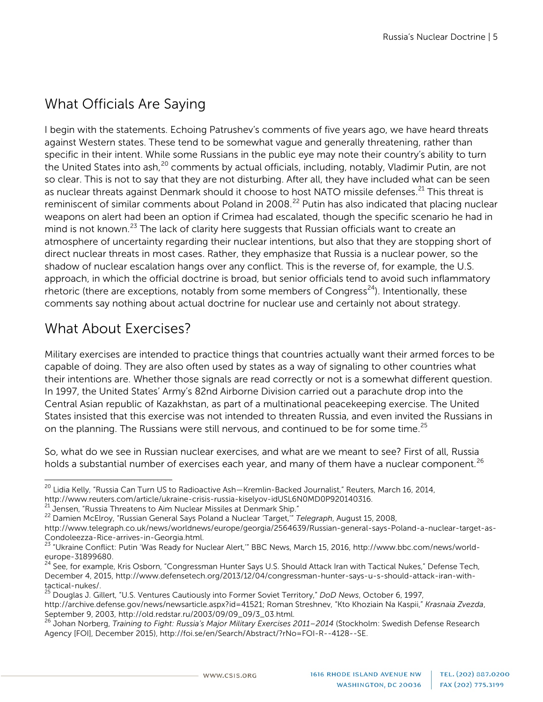## What Officials Are Saying

I begin with the statements. Echoing Patrushev's comments of five years ago, we have heard threats against Western states. These tend to be somewhat vague and generally threatening, rather than specific in their intent. While some Russians in the public eye may note their country's ability to turn the United States into ash, <sup>[20](#page-4-0)</sup> comments by actual officials, including, notably, Vladimir Putin, are not so clear. This is not to say that they are not disturbing. After all, they have included what can be seen as nuclear threats against Denmark should it choose to host NATO missile defenses.<sup>[21](#page-4-1)</sup> This threat is reminiscent of similar comments about Poland in 2008.<sup>[22](#page-4-2)</sup> Putin has also indicated that placing nuclear weapons on alert had been an option if Crimea had escalated, though the specific scenario he had in mind is not known.<sup>[23](#page-4-3)</sup> The lack of clarity here suggests that Russian officials want to create an atmosphere of uncertainty regarding their nuclear intentions, but also that they are stopping short of direct nuclear threats in most cases. Rather, they emphasize that Russia is a nuclear power, so the shadow of nuclear escalation hangs over any conflict. This is the reverse of, for example, the U.S. approach, in which the official doctrine is broad, but senior officials tend to avoid such inflammatory rhetoric (there are exceptions, notably from some members of Congress<sup>24</sup>). Intentionally, these comments say nothing about actual doctrine for nuclear use and certainly not about strategy.

## What About Exercises?

Military exercises are intended to practice things that countries actually want their armed forces to be capable of doing. They are also often used by states as a way of signaling to other countries what their intentions are. Whether those signals are read correctly or not is a somewhat different question. In 1997, the United States' Army's 82nd Airborne Division carried out a parachute drop into the Central Asian republic of Kazakhstan, as part of a multinational peacekeeping exercise. The United States insisted that this exercise was not intended to threaten Russia, and even invited the Russians in on the planning. The Russians were still nervous, and continued to be for some time.<sup>[25](#page-4-5)</sup>

So, what do we see in Russian nuclear exercises, and what are we meant to see? First of all, Russia holds a substantial number of exercises each year, and many of them have a nuclear component.<sup>[26](#page-4-6)</sup>

<span id="page-4-0"></span><sup>&</sup>lt;sup>20</sup> Lidia Kelly, "Russia Can Turn US to Radioactive Ash—Kremlin-Backed Journalist," Reuters, March 16, 2014, <br>http://www.reuters.com/article/ukraine-crisis-russia-kiselyov-idUSL6N0MD0P920140316.

<span id="page-4-2"></span><span id="page-4-1"></span><sup>&</sup>lt;sup>21</sup> Jensen, "Russia Threatens to Aim Nuclear Missiles at Denmark Ship."<br><sup>22</sup> Damien McElroy, "Russian General Says Poland a Nuclear 'Target,'" *Telegraph*, August 15, 2008,

[http://www.telegraph.co.uk/news/worldnews/europe/georgia/2564639/Russian-general-says-Poland-a-nuclear-target-as-](http://www.telegraph.co.uk/news/worldnews/europe/georgia/2564639/Russian-general-says-Poland-a-nuclear-target-as-Condoleezza-Rice-arrives-in-Georgia.html)

<span id="page-4-3"></span>[Condoleezza-Rice-arrives-in-Georgia.html.](http://www.telegraph.co.uk/news/worldnews/europe/georgia/2564639/Russian-general-says-Poland-a-nuclear-target-as-Condoleezza-Rice-arrives-in-Georgia.html)<br><sup>23</sup> "Ukraine Conflict: Putin 'Was Ready for Nuclear Alert,'" BBC News, March 15, 2016, http://www.bbc.com/news/world-<br>europe-31899680.

<span id="page-4-4"></span><sup>&</sup>lt;sup>24</sup> See, for example, Kris Osborn, "Congressman Hunter Says U.S. Should Attack Iran with Tactical Nukes," Defense Tech, December 4, 2015[, http://www.defensetech.org/2013/12/04/congressman-hunter-says-u-s-should-attack-iran-with](http://www.defensetech.org/2013/12/04/congressman-hunter-says-u-s-should-attack-iran-with-tactical-nukes/)[tactical-nukes/.](http://www.defensetech.org/2013/12/04/congressman-hunter-says-u-s-should-attack-iran-with-tactical-nukes/)<br><sup>25</sup> Douglas J. Gillert, "U.S. Ventures Cautiously into Former Soviet Territory," *DoD News,* October 6, 1997,

<span id="page-4-5"></span>[http://archive.defense.gov/news/newsarticle.aspx?id=41521;](http://archive.defense.gov/news/newsarticle.aspx?id=41521) Roman Streshnev, "Kto Khoziain Na Kaspii," *Krasnaia Zvezda*,

<span id="page-4-6"></span>Johan Norberg, Training to Fight: Russia's Major Military Exercises 2011–2014 (Stockholm: Swedish Defense Research Agency [FOI], December 2015)[, http://foi.se/en/Search/Abstract/?rNo=FOI-R--4128--SE.](http://foi.se/en/Search/Abstract/?rNo=FOI-R--4128--SE)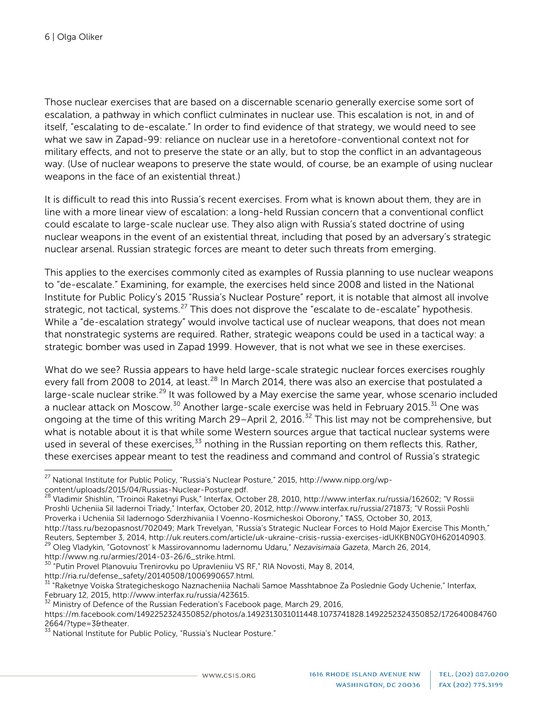Those nuclear exercises that are based on a discernable scenario generally exercise some sort of escalation, a pathway in which conflict culminates in nuclear use. This escalation is not, in and of itself, "escalating to de-escalate." In order to find evidence of that strategy, we would need to see what we saw in Zapad-99: reliance on nuclear use in a heretofore-conventional context not for military effects, and not to preserve the state or an ally, but to stop the conflict in an advantageous way. (Use of nuclear weapons to preserve the state would, of course, be an example of using nuclear weapons in the face of an existential threat.)

It is difficult to read this into Russia's recent exercises. From what is known about them, they are in line with a more linear view of escalation: a long-held Russian concern that a conventional conflict could escalate to large-scale nuclear use. They also align with Russia's stated doctrine of using nuclear weapons in the event of an existential threat, including that posed by an adversary's strategic nuclear arsenal. Russian strategic forces are meant to deter such threats from emerging.

This applies to the exercises commonly cited as examples of Russia planning to use nuclear weapons to "de-escalate." Examining, for example, the exercises held since 2008 and listed in the National Institute for Public Policy's 2015 "Russia's Nuclear Posture" report, it is notable that almost all involve strategic, not tactical, systems.<sup>[27](#page-5-0)</sup> This does not disprove the "escalate to de-escalate" hypothesis. While a "de-escalation strategy" would involve tactical use of nuclear weapons, that does not mean that nonstrategic systems are required. Rather, strategic weapons could be used in a tactical way: a strategic bomber was used in Zapad 1999. However, that is not what we see in these exercises.

What do we see? Russia appears to have held large-scale strategic nuclear forces exercises roughly every fall from 2008 to 2014, at least.<sup>[28](#page-5-1)</sup> In March 2014, there was also an exercise that postulated a large-scale nuclear strike.<sup>[29](#page-5-2)</sup> It was followed by a May exercise the same year, whose scenario included a nuclear attack on Moscow.<sup>[30](#page-5-3)</sup> Another large-scale exercise was held in February 2015.<sup>[31](#page-5-4)</sup> One was ongoing at the time of this writing March 29–April 2, 2016.<sup>[32](#page-5-5)</sup> This list may not be comprehensive, but what is notable about it is that while some Western sources argue that tactical nuclear systems were used in several of these exercises,  $33$  nothing in the Russian reporting on them reflects this. Rather, these exercises appear meant to test the readiness and command and control of Russia's strategic

<span id="page-5-0"></span><sup>27</sup> National Institute for Public Policy, "Russia's Nuclear Posture," 2015, [http://www.nipp.org/wp-](http://www.nipp.org/wp-content/uploads/2015/04/Russias-Nuclear-Posture.pdf)

<span id="page-5-1"></span>[content/uploads/2015/04/Russias-Nuclear-Posture.pdf.](http://www.nipp.org/wp-content/uploads/2015/04/Russias-Nuclear-Posture.pdf)<br><sup>28</sup> Vladimir Shishlin, "Troinoi Raketnyi Pusk," Interfax, October 28, 2010, [http://www.interfax.ru/russia/162602;](http://www.interfax.ru/russia/162602) "V Rossii Proshli Ucheniia Sil Iadernoi Triady," Interfax, October 20, 2012[, http://www.interfax.ru/russia/271873;](http://www.interfax.ru/russia/271873) "V Rossii Poshli Proverka i Ucheniia Sil Iadernogo Sderzhivaniia I Voenno-Kosmicheskoi Oborony," ТАSS, October 30, 2013, [http://tass.ru/bezopasnost/702049;](http://tass.ru/bezopasnost/702049) Mark Trevelyan, "Russia's Strategic Nuclear Forces to Hold Major Exercise This Month," Reuters, September 3, 2014, [http://uk.reuters.com/article/uk-ukraine-crisis-russia-exercises-idUKKBN0GY0H620140903.](http://uk.reuters.com/article/uk-ukraine-crisis-russia-exercises-idUKKBN0GY0H620140903) <sup>29</sup> Oleg Vladykin, "Gotovnost' k Massirovannomu Iadernomu Udaru," *Nezavisimaia Gazeta*, March 26, 2014,

<span id="page-5-2"></span>[http://www.ng.ru/armies/2014-03-26/6\\_strike.html.](http://www.ng.ru/armies/2014-03-26/6_strike.html)<br><sup>30</sup> "Putin Provel Planovuiu Trenirovku po Upravleniiu VS RF," RIA Novosti, May 8, 2014,

<span id="page-5-4"></span><span id="page-5-3"></span>[http://ria.ru/defense\\_safety/20140508/1006990657.html.](http://ria.ru/defense_safety/20140508/1006990657.html)<br><sup>31</sup> "Raketnye Voiska Strategicheskogo Naznacheniia Nachali Samoe Masshtabnoe Za Poslednie Gody Uchenie," Interfax,<br>February 12, 2015, http://www.interfax.ru/russia/42

<span id="page-5-5"></span> $^{32}$  Ministry of Defence of the Russian Federation's Facebook page, March 29, 2016,

[https://m.facebook.com/1492252324350852/photos/a.1492313031011448.1073741828.1492252324350852/172640084760](https://m.facebook.com/1492252324350852/photos/a.1492313031011448.1073741828.1492252324350852/1726400847602664/?type=3&theater)  $2664$ ?type=3&theater.<br><sup>33</sup> National Institute for Public Policy, "Russia's Nuclear Posture."

<span id="page-5-6"></span>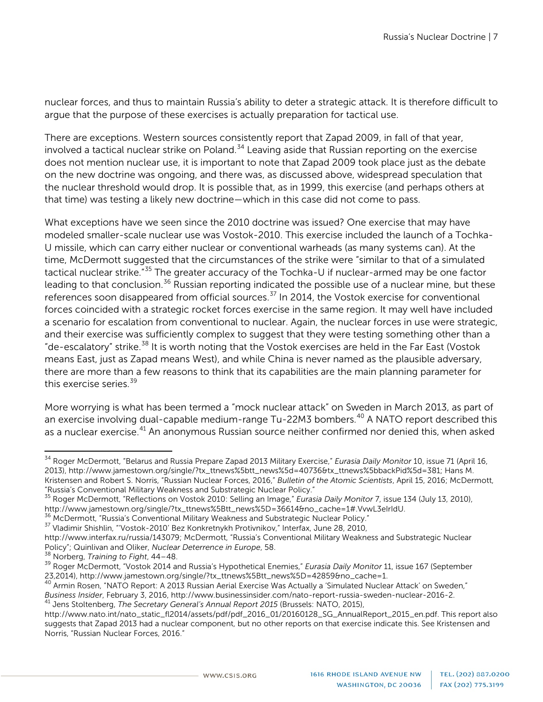nuclear forces, and thus to maintain Russia's ability to deter a strategic attack. It is therefore difficult to argue that the purpose of these exercises is actually preparation for tactical use.

There are exceptions. Western sources consistently report that Zapad 2009, in fall of that year, involved a tactical nuclear strike on Poland.<sup>[34](#page-6-0)</sup> Leaving aside that Russian reporting on the exercise does not mention nuclear use, it is important to note that Zapad 2009 took place just as the debate on the new doctrine was ongoing, and there was, as discussed above, widespread speculation that the nuclear threshold would drop. It is possible that, as in 1999, this exercise (and perhaps others at that time) was testing a likely new doctrine—which in this case did not come to pass.

What exceptions have we seen since the 2010 doctrine was issued? One exercise that may have modeled smaller-scale nuclear use was Vostok-2010. This exercise included the launch of a Tochka-U missile, which can carry either nuclear or conventional warheads (as many systems can). At the time, McDermott suggested that the circumstances of the strike were "similar to that of a simulated tactical nuclear strike."[35](#page-6-1) The greater accuracy of the Tochka-U if nuclear-armed may be one factor leading to that conclusion.<sup>[36](#page-6-2)</sup> Russian reporting indicated the possible use of a nuclear mine, but these references soon disappeared from official sources.[37](#page-6-3) In 2014, the Vostok exercise for conventional forces coincided with a strategic rocket forces exercise in the same region. It may well have included a scenario for escalation from conventional to nuclear. Again, the nuclear forces in use were strategic, and their exercise was sufficiently complex to suggest that they were testing something other than a "de-escalatory" strike.<sup>[38](#page-6-4)</sup> It is worth noting that the Vostok exercises are held in the Far East (Vostok means East, just as Zapad means West), and while China is never named as the plausible adversary, there are more than a few reasons to think that its capabilities are the main planning parameter for this exercise series.<sup>[39](#page-6-5)</sup>

More worrying is what has been termed a "mock nuclear attack" on Sweden in March 2013, as part of an exercise involving dual-capable medium-range Tu-22M3 bombers.<sup>[40](#page-6-6)</sup> A NATO report described this as a nuclear exercise.<sup>[41](#page-6-7)</sup> An anonymous Russian source neither confirmed nor denied this, when asked

<span id="page-6-0"></span><sup>34</sup> Roger McDermott, "Belarus and Russia Prepare Zapad 2013 Military Exercise," *Eurasia Daily Monitor* 10, issue 71 (April 16, 2013)[, http://www.jamestown.org/single/?tx\\_ttnews%5btt\\_news%5d=40736&tx\\_ttnews%5bbackPid%5d=381;](http://www.jamestown.org/single/?tx_ttnews%5btt_news%5d=40736&tx_ttnews%5bbackPid%5d=381) Hans M. Kristensen and Robert S. Norris, "Russian Nuclear Forces, 2016," *Bulletin of the Atomic Scientists*, April 15, 2016; McDermott, "Russia's Conventional Military Weakness and Substrategic Nuclear Policy."

<span id="page-6-1"></span><sup>35</sup> Roger McDermott, "Reflections on Vostok 2010: Selling an Image," *Eurasia Daily Monitor* 7, issue 134 (July 13, 2010),

<span id="page-6-2"></span><sup>&</sup>lt;sup>36</sup> McDermott, "Russia's Conventional Military Weakness and Substrategic Nuclear Policy."<br><sup>37</sup> Vladimir Shishlin, "Vostok-2010' Bez Konkretnykh Protivnikov," Interfax, June 28, 2010,

<span id="page-6-3"></span>[http://www.interfax.ru/russia/143079;](http://www.interfax.ru/russia/143079) McDermott, "Russia's Conventional Military Weakness and Substrategic Nuclear<br>Policy": Quinlivan and Oliker, Nuclear Deterrence in Europe, 58.

<span id="page-6-4"></span><sup>&</sup>lt;sup>38</sup> Norberg, *Training to Fight, 44–48*.<br><sup>39</sup> Roger McDermott, "Vostok 2014 and Russia's Hypothetical Enemies," *Eurasia Daily Monitor* 11, issue 167 (September

<span id="page-6-6"></span><span id="page-6-5"></span><sup>23,2014),</sup> [http://www.jamestown.org/single/?tx\\_ttnews%5Btt\\_news%5D=42859&no\\_cache=1.](http://www.jamestown.org/single/?tx_ttnews%5Btt_news%5D=42859&no_cache=1)<br><sup>40</sup> Armin Rosen, "NATO Report: A 2013 Russian Aerial Exercise Was Actually a 'Simulated Nuclear Attack' on Sweden,"<br>Business Insider, Feb

<span id="page-6-7"></span><sup>&</sup>lt;sup>41</sup> Jens Stoltenberg, The Secretary General's Annual Report 2015 (Brussels: NATO, 2015),

[http://www.nato.int/nato\\_static\\_fl2014/assets/pdf/pdf\\_2016\\_01/20160128\\_SG\\_AnnualReport\\_2015\\_en.pdf.](http://www.nato.int/nato_static_fl2014/assets/pdf/pdf_2016_01/20160128_SG_AnnualReport_2015_en.pdf) This report also suggests that Zapad 2013 had a nuclear component, but no other reports on that exercise indicate this. See Kristensen and Norris, "Russian Nuclear Forces, 2016."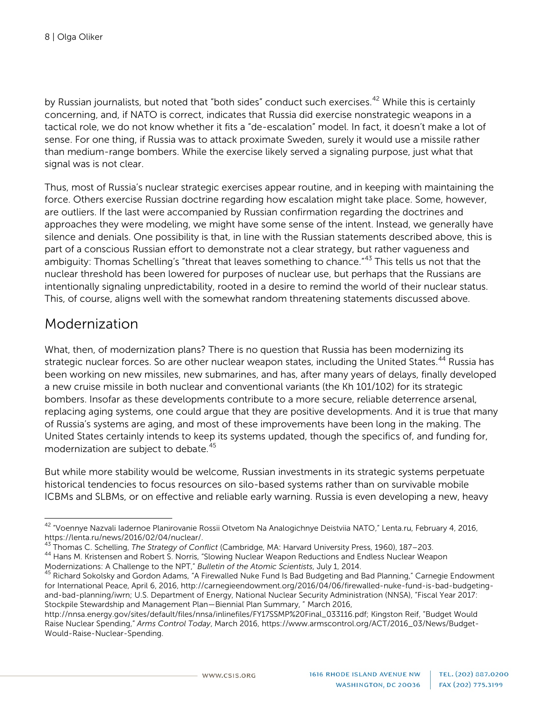by Russian journalists, but noted that "both sides" conduct such exercises.<sup>[42](#page-7-0)</sup> While this is certainly concerning, and, if NATO is correct, indicates that Russia did exercise nonstrategic weapons in a tactical role, we do not know whether it fits a "de-escalation" model. In fact, it doesn't make a lot of sense. For one thing, if Russia was to attack proximate Sweden, surely it would use a missile rather than medium-range bombers. While the exercise likely served a signaling purpose, just what that signal was is not clear.

Thus, most of Russia's nuclear strategic exercises appear routine, and in keeping with maintaining the force. Others exercise Russian doctrine regarding how escalation might take place. Some, however, are outliers. If the last were accompanied by Russian confirmation regarding the doctrines and approaches they were modeling, we might have some sense of the intent. Instead, we generally have silence and denials. One possibility is that, in line with the Russian statements described above, this is part of a conscious Russian effort to demonstrate not a clear strategy, but rather vagueness and ambiguity: Thomas Schelling's "threat that leaves something to chance."<sup>[43](#page-7-1)</sup> This tells us not that the nuclear threshold has been lowered for purposes of nuclear use, but perhaps that the Russians are intentionally signaling unpredictability, rooted in a desire to remind the world of their nuclear status. This, of course, aligns well with the somewhat random threatening statements discussed above.

#### Modernization

What, then, of modernization plans? There is no question that Russia has been modernizing its strategic nuclear forces. So are other nuclear weapon states, including the United States.<sup>[44](#page-7-2)</sup> Russia has been working on new missiles, new submarines, and has, after many years of delays, finally developed a new cruise missile in both nuclear and conventional variants (the Kh 101/102) for its strategic bombers. Insofar as these developments contribute to a more secure, reliable deterrence arsenal, replacing aging systems, one could argue that they are positive developments. And it is true that many of Russia's systems are aging, and most of these improvements have been long in the making. The United States certainly intends to keep its systems updated, though the specifics of, and funding for, modernization are subject to debate.<sup>[45](#page-7-3)</sup>

But while more stability would be welcome, Russian investments in its strategic systems perpetuate historical tendencies to focus resources on silo-based systems rather than on survivable mobile ICBMs and SLBMs, or on effective and reliable early warning. Russia is even developing a new, heavy

<span id="page-7-0"></span><sup>&</sup>lt;sup>42</sup> "Voennye Nazvali Iadernoe Planirovanie Rossii Otvetom Na Analogichnye Deistviia NATO," Lenta.ru, February 4, 2016,<br>https://lenta.ru/news/2016/02/04/nuclear/.

<span id="page-7-2"></span><span id="page-7-1"></span><sup>&</sup>lt;sup>43</sup> Thomas C. Schelling, *The Strategy of Conflict* (Cambridge, MA: Harvard University Press, 1960), 187–203.<br><sup>44</sup> Hans M. Kristensen and Robert S. Norris, "Slowing Nuclear Weapon Reductions and Endless Nuclear Weapon Mo

<span id="page-7-3"></span><sup>&</sup>lt;sup>45</sup> Richard Sokolsky and Gordon Adams, "A Firewalled Nuke Fund Is Bad Budgeting and Bad Planning," Carnegie Endowment for International Peace, April 6, 2016, [http://carnegieendowment.org/2016/04/06/firewalled-nuke-fund-is-bad-budgeting](http://carnegieendowment.org/2016/04/06/firewalled-nuke-fund-is-bad-budgeting-and-bad-planning/iwrn)[and-bad-planning/iwrn;](http://carnegieendowment.org/2016/04/06/firewalled-nuke-fund-is-bad-budgeting-and-bad-planning/iwrn) U.S. Department of Energy, National Nuclear Security Administration (NNSA), "Fiscal Year 2017: Stockpile Stewardship and Management Plan—Biennial Plan Summary, " March 2016,

http://nnsa.energy.gov/sites/default/files/nnsa/inlinefiles/FY17SSMP%20Final\_033116.pdf; Kingston Reif, "Budget Would Raise Nuclear Spending," *Arms Control Today*, March 2016, [https://www.armscontrol.org/ACT/2016\\_03/News/Budget-](https://www.armscontrol.org/ACT/2016_03/News/Budget-Would-Raise-Nuclear-Spending)[Would-Raise-Nuclear-Spending.](https://www.armscontrol.org/ACT/2016_03/News/Budget-Would-Raise-Nuclear-Spending)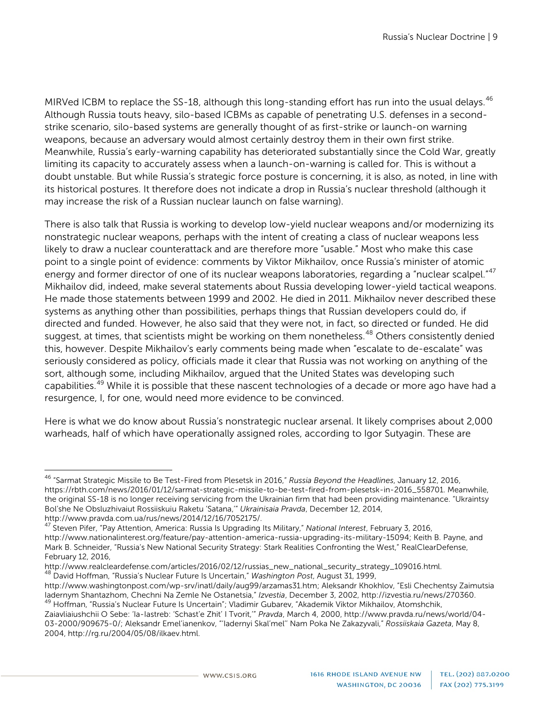MIRVed ICBM to replace the SS-18, although this long-standing effort has run into the usual delays.<sup>[46](#page-8-0)</sup> Although Russia touts heavy, silo-based ICBMs as capable of penetrating U.S. defenses in a secondstrike scenario, silo-based systems are generally thought of as first-strike or launch-on warning weapons, because an adversary would almost certainly destroy them in their own first strike. Meanwhile, Russia's early-warning capability has deteriorated substantially since the Cold War, greatly limiting its capacity to accurately assess when a launch-on-warning is called for. This is without a doubt unstable. But while Russia's strategic force posture is concerning, it is also, as noted, in line with its historical postures. It therefore does not indicate a drop in Russia's nuclear threshold (although it may increase the risk of a Russian nuclear launch on false warning).

There is also talk that Russia is working to develop low-yield nuclear weapons and/or modernizing its nonstrategic nuclear weapons, perhaps with the intent of creating a class of nuclear weapons less likely to draw a nuclear counterattack and are therefore more "usable." Most who make this case point to a single point of evidence: comments by Viktor Mikhailov, once Russia's minister of atomic energy and former director of one of its nuclear weapons laboratories, regarding a "nuclear scalpel."<sup>[47](#page-8-1)</sup> Mikhailov did, indeed, make several statements about Russia developing lower-yield tactical weapons. He made those statements between 1999 and 2002. He died in 2011. Mikhailov never described these systems as anything other than possibilities, perhaps things that Russian developers could do, if directed and funded. However, he also said that they were not, in fact, so directed or funded. He did suggest, at times, that scientists might be working on them nonetheless.<sup>[48](#page-8-2)</sup> Others consistently denied this, however. Despite Mikhailov's early comments being made when "escalate to de-escalate" was seriously considered as policy, officials made it clear that Russia was not working on anything of the sort, although some, including Mikhailov, argued that the United States was developing such capabilities.[49](#page-8-3) While it is possible that these nascent technologies of a decade or more ago have had a resurgence, I, for one, would need more evidence to be convinced.

Here is what we do know about Russia's nonstrategic nuclear arsenal. It likely comprises about 2,000 warheads, half of which have operationally assigned roles, according to Igor Sutyagin. These are

<span id="page-8-0"></span><sup>46</sup> "Sarmat Strategic Missile to Be Test-Fired from Plesetsk in 2016," *Russia Beyond the Headlines*, January 12, 2016, [https://rbth.com/news/2016/01/12/sarmat-strategic-missile-to-be-test-fired-from-plesetsk-in-2016\\_558701.](https://rbth.com/news/2016/01/12/sarmat-strategic-missile-to-be-test-fired-from-plesetsk-in-2016_558701) Meanwhile, the original SS-18 is no longer receiving servicing from the Ukrainian firm that had been providing maintenance. "Ukraintsy Bol'she Ne Obsluzhivaiut Rossiiskuiu Raketu 'Satana,'" *Ukrainisaia Pravda*, December 12, 2014,

<span id="page-8-1"></span><sup>&</sup>lt;sup>47</sup> Steven Pifer, "Pay Attention, America: Russia Is Upgrading Its Military," *National Interest*, February 3, 2016, [http://www.nationalinterest.org/feature/pay-attention-america-russia-upgrading-its-military-15094;](http://www.nationalinterest.org/feature/pay-attention-america-russia-upgrading-its-military-15094) Keith B. Payne, and Mark B. Schneider, "Russia's New National Security Strategy: Stark Realities Confronting the West," RealClearDefense, February 12, 2016,<br>http://www.realcleardefense.com/articles/2016/02/12/russias\_new\_national\_security\_strategy\_109016.html.

<sup>&</sup>lt;sup>48</sup> David Hoffman, "Russia's Nuclear Future Is Uncertain," *Washington Post*, August 31, 1999,

<span id="page-8-2"></span>[http://www.washingtonpost.com/wp-srv/inatl/daily/aug99/arzamas31.htm;](http://www.washingtonpost.com/wp-srv/inatl/daily/aug99/arzamas31.htm) Aleksandr Khokhlov, "Esli Chechentsy Zaimutsia<br>ladernym Shantazhom, Chechni Na Zemle Ne Ostanetsia," Izvestia, December 3, 2002, http://izvestia.ru/news <sup>49</sup> Hoffman, "Russia's Nuclear Future Is Uncertain"; Vladimir Gubarev, "Akademik Viktor Mikhailov, Atomshchik,

<span id="page-8-3"></span>Zaiavliaiushchii O Sebe: 'Ia-Iastreb: 'Schast'e Zhit' I Tvorit,'" *Pravda*, March 4, 2000, [http://www.pravda.ru/news/world/04-](http://www.pravda.ru/news/world/04-03-2000/909675-0/) [03-2000/909675-0/;](http://www.pravda.ru/news/world/04-03-2000/909675-0/) Aleksandr Emel'ianenkov, "'Iadernyi Skal'mel'' Nam Poka Ne Zakazyvali," *Rossiiskaia Gazeta*, May 8, 2004[, http://rg.ru/2004/05/08/ilkaev.html.](http://rg.ru/2004/05/08/ilkaev.html)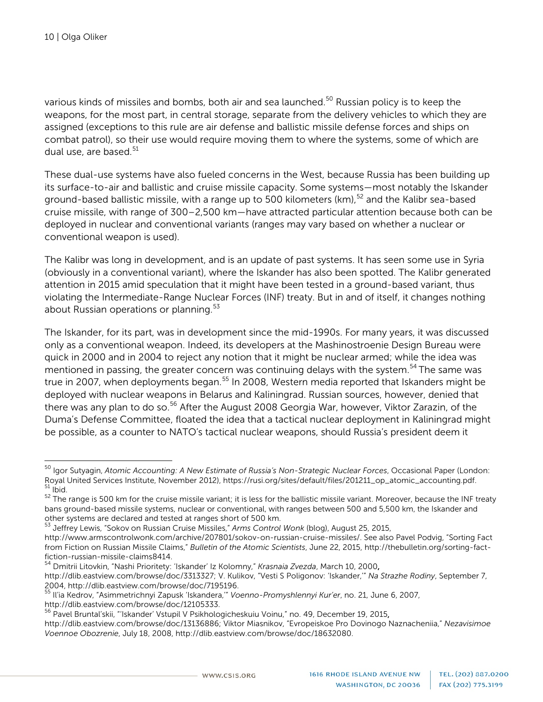various kinds of missiles and bombs, both air and sea launched. [50](#page-9-0) Russian policy is to keep the weapons, for the most part, in central storage, separate from the delivery vehicles to which they are assigned (exceptions to this rule are air defense and ballistic missile defense forces and ships on combat patrol), so their use would require moving them to where the systems, some of which are dual use, are based. $51$ 

These dual-use systems have also fueled concerns in the West, because Russia has been building up its surface-to-air and ballistic and cruise missile capacity. Some systems—most notably the Iskander ground-based ballistic missile, with a range up to 500 kilometers (km), $52$  and the Kalibr sea-based cruise missile, with range of 300–2,500 km—have attracted particular attention because both can be deployed in nuclear and conventional variants (ranges may vary based on whether a nuclear or conventional weapon is used).

The Kalibr was long in development, and is an update of past systems. It has seen some use in Syria (obviously in a conventional variant), where the Iskander has also been spotted. The Kalibr generated attention in 2015 amid speculation that it might have been tested in a ground-based variant, thus violating the Intermediate-Range Nuclear Forces (INF) treaty. But in and of itself, it changes nothing about Russian operations or planning. $53$ 

The Iskander, for its part, was in development since the mid-1990s. For many years, it was discussed only as a conventional weapon. Indeed, its developers at the Mashinostroenie Design Bureau were quick in 2000 and in 2004 to reject any notion that it might be nuclear armed; while the idea was mentioned in passing, the greater concern was continuing delays with the system.<sup>[54](#page-9-4)</sup> The same was true in 2007, when deployments began.<sup>[55](#page-9-5)</sup> In 2008, Western media reported that Iskanders might be deployed with nuclear weapons in Belarus and Kaliningrad. Russian sources, however, denied that there was any plan to do so.<sup>[56](#page-9-6)</sup> After the August 2008 Georgia War, however, Viktor Zarazin, of the Duma's Defense Committee, floated the idea that a tactical nuclear deployment in Kaliningrad might be possible, as a counter to NATO's tactical nuclear weapons, should Russia's president deem it

http://dlib.eastview.com/browse/doc/3313327; V. Kulikov, "Vesti S Poligonov: 'Iskander,'" *Na Strazhe Rodiny*, September 7, 2004, http://dlib.eastview.com/browse/doc/7195196.

<span id="page-9-0"></span><sup>50</sup> Igor Sutyagin, *Atomic Accounting: A New Estimate of Russia's Non-Strategic Nuclear Forces*, Occasional Paper (London: Royal United Services Institute, November 2012), [https://rusi.org/sites/default/files/201211\\_op\\_atomic\\_accounting.pdf.](https://rusi.org/sites/default/files/201211_op_atomic_accounting.pdf)<br><sup>51</sup> Ibid.<br><sup>52</sup> The range is 500 km for the cruise missile variant; it is less for the ballistic missil

<span id="page-9-2"></span><span id="page-9-1"></span>bans ground-based missile systems, nuclear or conventional, with ranges between 500 and 5,500 km, the Iskander and other systems are declared and tested at ranges short of 500 km.

<span id="page-9-3"></span><sup>&</sup>lt;sup>53</sup> Jeffrey Lewis, "Sokov on Russian Cruise Missiles," *Arms Control Wonk* (blog), August 25, 2015,

[http://www.armscontrolwonk.com/archive/207801/sokov-on-russian-cruise-missiles/.](http://www.armscontrolwonk.com/archive/207801/sokov-on-russian-cruise-missiles/) See also Pavel Podvig, "Sorting Fact from Fiction on Russian Missile Claims," *Bulletin of the Atomic Scientists*, June 22, 2015, [http://thebulletin.org/sorting-fact](http://thebulletin.org/sorting-fact-fiction-russian-missile-claims8414)[fiction-russian-missile-claims8414.](http://thebulletin.org/sorting-fact-fiction-russian-missile-claims8414)<br><sup>54</sup> Dmitrii Litovkin, "Nashi Prioritety: 'Iskander' Iz Kolomny," *Krasnaia Zvezda,* March 10, 2000**,** 

<span id="page-9-4"></span>

<span id="page-9-5"></span><sup>55</sup> Il'ia Kedrov, "Asimmetrichnyi Zapusk 'Iskandera,'" *Voenno-Promyshlennyi Kur'er*, no. 21, June 6, 2007, http://dlib.eastview.com/browse/doc/12105333.

<span id="page-9-6"></span><sup>&</sup>lt;sup>56</sup> Pavel Bruntal'skii, "'Iskander' Vstupil V Psikhologicheskuiu Voinu," no. 49, December 19, 2015, http://dlib.eastview.com/browse/doc/13136886; Viktor Miasnikov, "Evropeiskoe Pro Dovinogo Naznacheniia," *Nezavisimoe Voennoe Obozrenie*, July 18, 2008, http://dlib.eastview.com/browse/doc/18632080.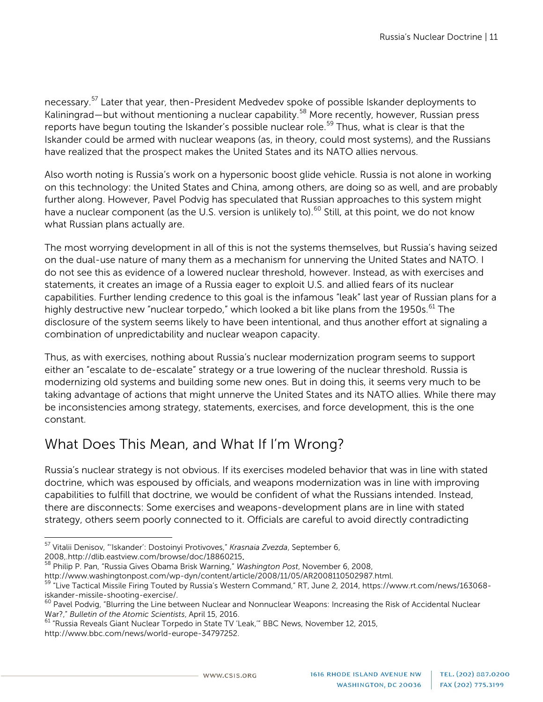necessary.[57](#page-10-0) Later that year, then-President Medvedev spoke of possible Iskander deployments to Kaliningrad—but without mentioning a nuclear capability.<sup>[58](#page-10-1)</sup> More recently, however, Russian press reports have begun touting the Iskander's possible nuclear role.<sup>[59](#page-10-2)</sup> Thus, what is clear is that the Iskander could be armed with nuclear weapons (as, in theory, could most systems), and the Russians have realized that the prospect makes the United States and its NATO allies nervous.

Also worth noting is Russia's work on a hypersonic boost glide vehicle. Russia is not alone in working on this technology: the United States and China, among others, are doing so as well, and are probably further along. However, Pavel Podvig has speculated that Russian approaches to this system might have a nuclear component (as the U.S. version is unlikely to).<sup>[60](#page-10-3)</sup> Still, at this point, we do not know what Russian plans actually are.

The most worrying development in all of this is not the systems themselves, but Russia's having seized on the dual-use nature of many them as a mechanism for unnerving the United States and NATO. I do not see this as evidence of a lowered nuclear threshold, however. Instead, as with exercises and statements, it creates an image of a Russia eager to exploit U.S. and allied fears of its nuclear capabilities. Further lending credence to this goal is the infamous "leak" last year of Russian plans for a highly destructive new "nuclear torpedo," which looked a bit like plans from the 1950s.<sup>[61](#page-10-4)</sup> The disclosure of the system seems likely to have been intentional, and thus another effort at signaling a combination of unpredictability and nuclear weapon capacity.

Thus, as with exercises, nothing about Russia's nuclear modernization program seems to support either an "escalate to de-escalate" strategy or a true lowering of the nuclear threshold. Russia is modernizing old systems and building some new ones. But in doing this, it seems very much to be taking advantage of actions that might unnerve the United States and its NATO allies. While there may be inconsistencies among strategy, statements, exercises, and force development, this is the one constant.

## What Does This Mean, and What If I'm Wrong?

Russia's nuclear strategy is not obvious. If its exercises modeled behavior that was in line with stated doctrine, which was espoused by officials, and weapons modernization was in line with improving capabilities to fulfill that doctrine, we would be confident of what the Russians intended. Instead, there are disconnects: Some exercises and weapons-development plans are in line with stated strategy, others seem poorly connected to it. Officials are careful to avoid directly contradicting

<span id="page-10-0"></span><sup>57</sup> Vitalii Denisov, "'Iskander': Dostoinyi Protivoves," *Krasnaia Zvezda*, September 6,

<sup>2008,.</sup>http://dlib.eastview.com/browse/doc/18860215. <sup>58</sup> Philip P. Pan, "Russia Gives Obama Brisk Warning," *Washington Post*, November 6, 2008,

<span id="page-10-2"></span><span id="page-10-1"></span>[http://www.washingtonpost.com/wp-dyn/content/article/2008/11/05/AR2008110502987.html.](http://www.washingtonpost.com/wp-dyn/content/article/2008/11/05/AR2008110502987.html)<br><sup>59</sup> "Live Tactical Missile Firing Touted by Russia's Western Command," RT, June 2, 2014, [https://www.rt.com/news/163068-](https://www.rt.com/news/163068-iskander-missile-shooting-exercise/)<br>iskander-missi

<span id="page-10-3"></span> $^{60}$  Pavel Podvig, "Blurring the Line between Nuclear and Nonnuclear Weapons: Increasing the Risk of Accidental Nuclear War?," Bulletin of the Atomic Scientists, April 15, 2016.

<span id="page-10-4"></span><sup>&</sup>lt;sup>61</sup> "Russia Reveals Giant Nuclear Torpedo in State TV 'Leak,'" BBC News, November 12, 2015, [http://www.bbc.com/news/world-europe-34797252.](http://www.bbc.com/news/world-europe-34797252)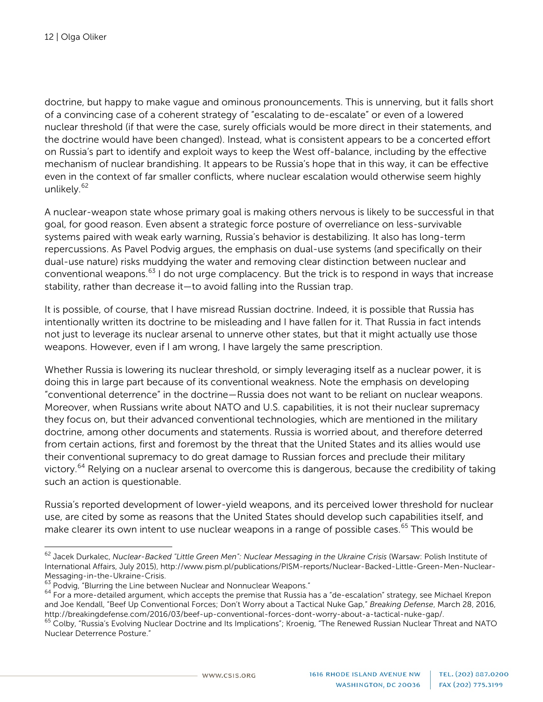doctrine, but happy to make vague and ominous pronouncements. This is unnerving, but it falls short of a convincing case of a coherent strategy of "escalating to de-escalate" or even of a lowered nuclear threshold (if that were the case, surely officials would be more direct in their statements, and the doctrine would have been changed). Instead, what is consistent appears to be a concerted effort on Russia's part to identify and exploit ways to keep the West off-balance, including by the effective mechanism of nuclear brandishing. It appears to be Russia's hope that in this way, it can be effective even in the context of far smaller conflicts, where nuclear escalation would otherwise seem highly unlikely.<sup>[62](#page-11-0)</sup>

A nuclear-weapon state whose primary goal is making others nervous is likely to be successful in that goal, for good reason. Even absent a strategic force posture of overreliance on less-survivable systems paired with weak early warning, Russia's behavior is destabilizing. It also has long-term repercussions. As Pavel Podvig argues, the emphasis on dual-use systems (and specifically on their dual-use nature) risks muddying the water and removing clear distinction between nuclear and conventional weapons.[63](#page-11-1) I do not urge complacency. But the trick is to respond in ways that increase stability, rather than decrease it—to avoid falling into the Russian trap.

It is possible, of course, that I have misread Russian doctrine. Indeed, it is possible that Russia has intentionally written its doctrine to be misleading and I have fallen for it. That Russia in fact intends not just to leverage its nuclear arsenal to unnerve other states, but that it might actually use those weapons. However, even if I am wrong, I have largely the same prescription.

Whether Russia is lowering its nuclear threshold, or simply leveraging itself as a nuclear power, it is doing this in large part because of its conventional weakness. Note the emphasis on developing "conventional deterrence" in the doctrine—Russia does not want to be reliant on nuclear weapons. Moreover, when Russians write about NATO and U.S. capabilities, it is not their nuclear supremacy they focus on, but their advanced conventional technologies, which are mentioned in the military doctrine, among other documents and statements. Russia is worried about, and therefore deterred from certain actions, first and foremost by the threat that the United States and its allies would use their conventional supremacy to do great damage to Russian forces and preclude their military victory.<sup>[64](#page-11-2)</sup> Relying on a nuclear arsenal to overcome this is dangerous, because the credibility of taking such an action is questionable.

Russia's reported development of lower-yield weapons, and its perceived lower threshold for nuclear use, are cited by some as reasons that the United States should develop such capabilities itself, and make clearer its own intent to use nuclear weapons in a range of possible cases.<sup>[65](#page-11-3)</sup> This would be

<span id="page-11-0"></span><sup>62</sup> Jacek Durkalec, *Nuclear-Backed "Little Green Men": Nuclear Messaging in the Ukraine Crisis* (Warsaw: Polish Institute of International Affairs, July 2015), [http://www.pism.pl/publications/PISM-reports/Nuclear-Backed-Little-Green-Men-Nuclear-](http://www.pism.pl/publications/PISM-reports/Nuclear-Backed-Little-Green-Men-Nuclear-Messaging-in-the-Ukraine-Crisis)[Messaging-in-the-Ukraine-Crisis.](http://www.pism.pl/publications/PISM-reports/Nuclear-Backed-Little-Green-Men-Nuclear-Messaging-in-the-Ukraine-Crisis)<br><sup>63</sup> Podvig, "Blurring the Line between Nuclear and Nonnuclear Weapons."<br><sup>64</sup> For a more-detailed argument, which accepts the premise that Russia has a "de-escalation" strategy, see Michael

<span id="page-11-1"></span>

<span id="page-11-2"></span>and Joe Kendall, "Beef Up Conventional Forces; Don't Worry about a Tactical Nuke Gap," *Breaking Defense*, March 28, 2016,

<span id="page-11-3"></span>Colby, "Russia's Evolving Nuclear Doctrine and Its Implications"; Kroenig, "The Renewed Russian Nuclear Threat and NATO Nuclear Deterrence Posture."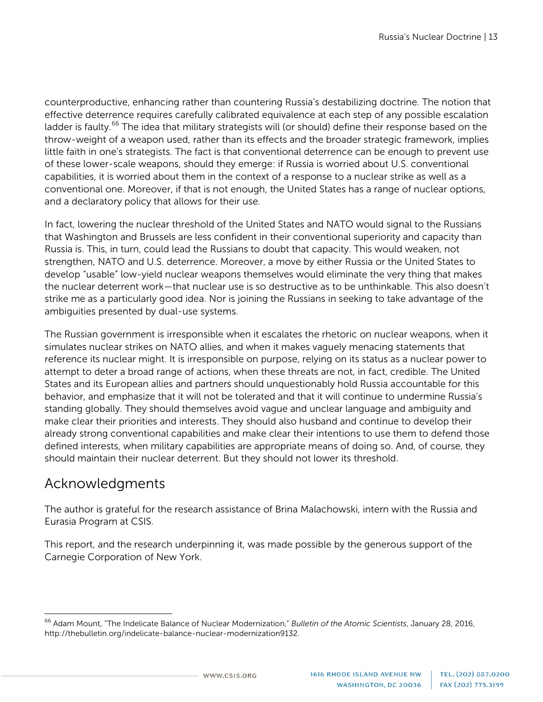counterproductive, enhancing rather than countering Russia's destabilizing doctrine. The notion that effective deterrence requires carefully calibrated equivalence at each step of any possible escalation ladder is faulty.<sup>[66](#page-12-0)</sup> The idea that military strategists will (or should) define their response based on the throw-weight of a weapon used, rather than its effects and the broader strategic framework, implies little faith in one's strategists. The fact is that conventional deterrence can be enough to prevent use of these lower-scale weapons, should they emerge: if Russia is worried about U.S. conventional capabilities, it is worried about them in the context of a response to a nuclear strike as well as a conventional one. Moreover, if that is not enough, the United States has a range of nuclear options, and a declaratory policy that allows for their use.

In fact, lowering the nuclear threshold of the United States and NATO would signal to the Russians that Washington and Brussels are less confident in their conventional superiority and capacity than Russia is. This, in turn, could lead the Russians to doubt that capacity. This would weaken, not strengthen, NATO and U.S. deterrence. Moreover, a move by either Russia or the United States to develop "usable" low-yield nuclear weapons themselves would eliminate the very thing that makes the nuclear deterrent work—that nuclear use is so destructive as to be unthinkable. This also doesn't strike me as a particularly good idea. Nor is joining the Russians in seeking to take advantage of the ambiguities presented by dual-use systems.

The Russian government is irresponsible when it escalates the rhetoric on nuclear weapons, when it simulates nuclear strikes on NATO allies, and when it makes vaguely menacing statements that reference its nuclear might. It is irresponsible on purpose, relying on its status as a nuclear power to attempt to deter a broad range of actions, when these threats are not, in fact, credible. The United States and its European allies and partners should unquestionably hold Russia accountable for this behavior, and emphasize that it will not be tolerated and that it will continue to undermine Russia's standing globally. They should themselves avoid vague and unclear language and ambiguity and make clear their priorities and interests. They should also husband and continue to develop their already strong conventional capabilities and make clear their intentions to use them to defend those defined interests, when military capabilities are appropriate means of doing so. And, of course, they should maintain their nuclear deterrent. But they should not lower its threshold.

## Acknowledgments

The author is grateful for the research assistance of Brina Malachowski, intern with the Russia and Eurasia Program at CSIS.

This report, and the research underpinning it, was made possible by the generous support of the Carnegie Corporation of New York.

<span id="page-12-0"></span><sup>66</sup> Adam Mount, "The Indelicate Balance of Nuclear Modernization," *Bulletin of the Atomic Scientists*, January 28, 2016, [http://thebulletin.org/indelicate-balance-nuclear-modernization9132.](http://thebulletin.org/indelicate-balance-nuclear-modernization9132)